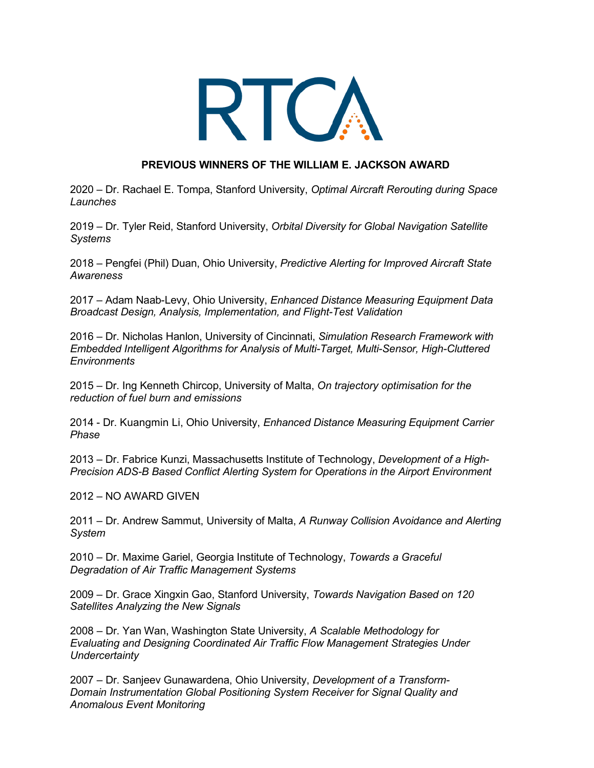

## **PREVIOUS WINNERS OF THE WILLIAM E. JACKSON AWARD**

2020 – Dr. Rachael E. Tompa, Stanford University, *Optimal Aircraft Rerouting during Space Launches*

2019 – Dr. Tyler Reid, Stanford University, *Orbital Diversity for Global Navigation Satellite Systems*

2018 – Pengfei (Phil) Duan, Ohio University, *Predictive Alerting for Improved Aircraft State Awareness*

2017 – Adam Naab-Levy, Ohio University, *Enhanced Distance Measuring Equipment Data Broadcast Design, Analysis, Implementation, and Flight-Test Validation*

2016 – Dr. Nicholas Hanlon, University of Cincinnati, *Simulation Research Framework with Embedded Intelligent Algorithms for Analysis of Multi-Target, Multi-Sensor, High-Cluttered Environments*

2015 – Dr. Ing Kenneth Chircop, University of Malta, *On trajectory optimisation for the reduction of fuel burn and emissions*

2014 - Dr. Kuangmin Li, Ohio University, *Enhanced Distance Measuring Equipment Carrier Phase* 

2013 – Dr. Fabrice Kunzi, Massachusetts Institute of Technology, *Development of a High-Precision ADS-B Based Conflict Alerting System for Operations in the Airport Environment*

2012 – NO AWARD GIVEN

2011 – Dr. Andrew Sammut, University of Malta, *A Runway Collision Avoidance and Alerting System*

2010 – Dr. Maxime Gariel, Georgia Institute of Technology, *Towards a Graceful Degradation of Air Traffic Management Systems*

2009 – Dr. Grace Xingxin Gao, Stanford University, *Towards Navigation Based on 120 Satellites Analyzing the New Signals*

2008 – Dr. Yan Wan, Washington State University, *A Scalable Methodology for Evaluating and Designing Coordinated Air Traffic Flow Management Strategies Under Undercertainty*

2007 – Dr. Sanjeev Gunawardena, Ohio University, *Development of a Transform-Domain Instrumentation Global Positioning System Receiver for Signal Quality and Anomalous Event Monitoring*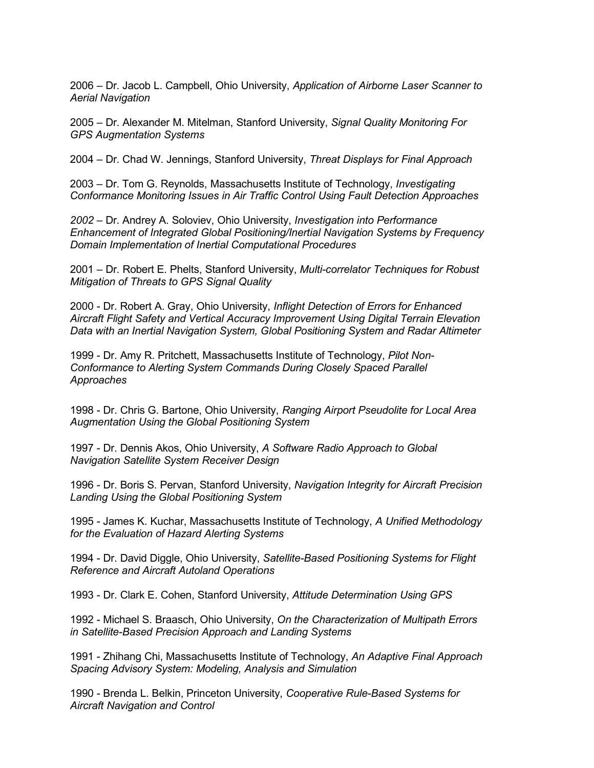2006 – Dr. Jacob L. Campbell, Ohio University, *Application of Airborne Laser Scanner to Aerial Navigation*

2005 – Dr. Alexander M. Mitelman, Stanford University, *Signal Quality Monitoring For GPS Augmentation Systems*

2004 – Dr. Chad W. Jennings, Stanford University, *Threat Displays for Final Approach*

2003 – Dr. Tom G. Reynolds, Massachusetts Institute of Technology, *Investigating Conformance Monitoring Issues in Air Traffic Control Using Fault Detection Approaches*

*2002 –* Dr. Andrey A. Soloviev, Ohio University, *Investigation into Performance Enhancement of Integrated Global Positioning/Inertial Navigation Systems by Frequency Domain Implementation of Inertial Computational Procedures*

2001 – Dr. Robert E. Phelts, Stanford University, *Multi-correlator Techniques for Robust Mitigation of Threats to GPS Signal Quality*

2000 - Dr. Robert A. Gray, Ohio University, *Inflight Detection of Errors for Enhanced Aircraft Flight Safety and Vertical Accuracy Improvement Using Digital Terrain Elevation Data with an Inertial Navigation System, Global Positioning System and Radar Altimeter*

1999 - Dr. Amy R. Pritchett, Massachusetts Institute of Technology, *Pilot Non-Conformance to Alerting System Commands During Closely Spaced Parallel Approaches*

1998 - Dr. Chris G. Bartone, Ohio University, *Ranging Airport Pseudolite for Local Area Augmentation Using the Global Positioning System*

1997 - Dr. Dennis Akos, Ohio University, *A Software Radio Approach to Global Navigation Satellite System Receiver Design*

1996 - Dr. Boris S. Pervan, Stanford University, *Navigation Integrity for Aircraft Precision Landing Using the Global Positioning System*

1995 - James K. Kuchar, Massachusetts Institute of Technology, *A Unified Methodology for the Evaluation of Hazard Alerting Systems*

1994 - Dr. David Diggle, Ohio University, *Satellite-Based Positioning Systems for Flight Reference and Aircraft Autoland Operations*

1993 - Dr. Clark E. Cohen, Stanford University, *Attitude Determination Using GPS*

1992 - Michael S. Braasch, Ohio University, *On the Characterization of Multipath Errors in Satellite-Based Precision Approach and Landing Systems*

1991 - Zhihang Chi, Massachusetts Institute of Technology, *An Adaptive Final Approach Spacing Advisory System: Modeling, Analysis and Simulation*

1990 - Brenda L. Belkin, Princeton University, *Cooperative Rule-Based Systems for Aircraft Navigation and Control*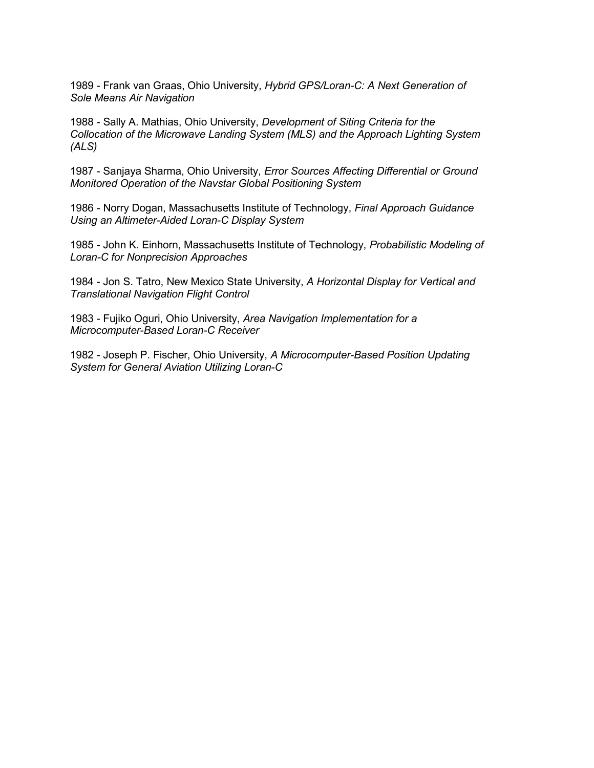1989 - Frank van Graas, Ohio University, *Hybrid GPS/Loran-C: A Next Generation of Sole Means Air Navigation*

1988 - Sally A. Mathias, Ohio University, *Development of Siting Criteria for the Collocation of the Microwave Landing System (MLS) and the Approach Lighting System (ALS)*

1987 - Sanjaya Sharma, Ohio University, *Error Sources Affecting Differential or Ground Monitored Operation of the Navstar Global Positioning System*

1986 - Norry Dogan, Massachusetts Institute of Technology, *Final Approach Guidance Using an Altimeter-Aided Loran-C Display System*

1985 - John K. Einhorn, Massachusetts Institute of Technology, *Probabilistic Modeling of Loran-C for Nonprecision Approaches*

1984 - Jon S. Tatro, New Mexico State University, *A Horizontal Display for Vertical and Translational Navigation Flight Control*

1983 - Fujiko Oguri, Ohio University, *Area Navigation Implementation for a Microcomputer-Based Loran-C Receiver*

1982 - Joseph P. Fischer, Ohio University, *A Microcomputer-Based Position Updating System for General Aviation Utilizing Loran-C*